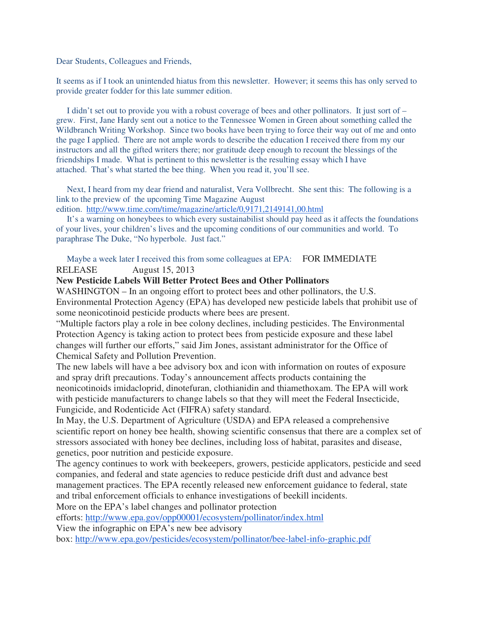Dear Students, Colleagues and Friends,

It seems as if I took an unintended hiatus from this newsletter. However; it seems this has only served to provide greater fodder for this late summer edition.

 I didn't set out to provide you with a robust coverage of bees and other pollinators. It just sort of – grew. First, Jane Hardy sent out a notice to the Tennessee Women in Green about something called the Wildbranch Writing Workshop. Since two books have been trying to force their way out of me and onto the page I applied. There are not ample words to describe the education I received there from my our instructors and all the gifted writers there; nor gratitude deep enough to recount the blessings of the friendships I made. What is pertinent to this newsletter is the resulting essay which I have attached. That's what started the bee thing. When you read it, you'll see.

 Next, I heard from my dear friend and naturalist, Vera Vollbrecht. She sent this: The following is a link to the preview of the upcoming Time Magazine August edition. http://www.time.com/time/magazine/article/0,9171,2149141,00.html

 It's a warning on honeybees to which every sustainabilist should pay heed as it affects the foundations of your lives, your children's lives and the upcoming conditions of our communities and world. To paraphrase The Duke, "No hyperbole. Just fact."

## Maybe a week later I received this from some colleagues at EPA: FOR IMMEDIATE RELEASE August 15, 2013

## **New Pesticide Labels Will Better Protect Bees and Other Pollinators**

WASHINGTON – In an ongoing effort to protect bees and other pollinators, the U.S. Environmental Protection Agency (EPA) has developed new pesticide labels that prohibit use of some neonicotinoid pesticide products where bees are present.

"Multiple factors play a role in bee colony declines, including pesticides. The Environmental Protection Agency is taking action to protect bees from pesticide exposure and these label changes will further our efforts," said Jim Jones, assistant administrator for the Office of Chemical Safety and Pollution Prevention.

The new labels will have a bee advisory box and icon with information on routes of exposure and spray drift precautions. Today's announcement affects products containing the neonicotinoids imidacloprid, dinotefuran, clothianidin and thiamethoxam. The EPA will work with pesticide manufacturers to change labels so that they will meet the Federal Insecticide, Fungicide, and Rodenticide Act (FIFRA) safety standard.

In May, the U.S. Department of Agriculture (USDA) and EPA released a comprehensive scientific report on honey bee health, showing scientific consensus that there are a complex set of stressors associated with honey bee declines, including loss of habitat, parasites and disease, genetics, poor nutrition and pesticide exposure.

The agency continues to work with beekeepers, growers, pesticide applicators, pesticide and seed companies, and federal and state agencies to reduce pesticide drift dust and advance best management practices. The EPA recently released new enforcement guidance to federal, state and tribal enforcement officials to enhance investigations of beekill incidents.

More on the EPA's label changes and pollinator protection

efforts: http://www.epa.gov/opp00001/ecosystem/pollinator/index.html

View the infographic on EPA's new bee advisory

box: http://www.epa.gov/pesticides/ecosystem/pollinator/bee-label-info-graphic.pdf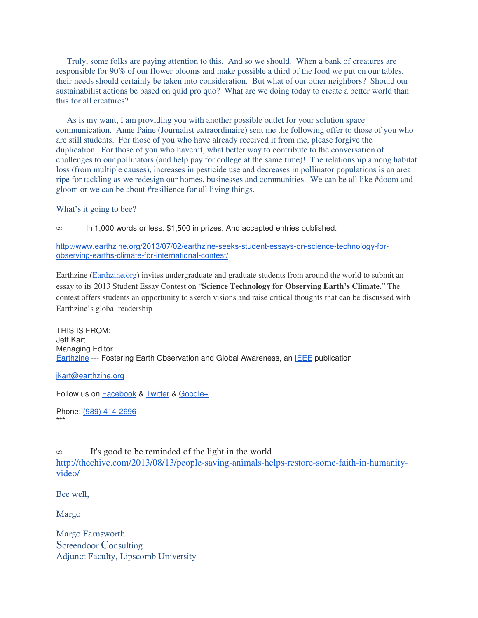Truly, some folks are paying attention to this. And so we should. When a bank of creatures are responsible for 90% of our flower blooms and make possible a third of the food we put on our tables, their needs should certainly be taken into consideration. But what of our other neighbors? Should our sustainabilist actions be based on quid pro quo? What are we doing today to create a better world than this for all creatures?

 As is my want, I am providing you with another possible outlet for your solution space communication. Anne Paine (Journalist extraordinaire) sent me the following offer to those of you who are still students. For those of you who have already received it from me, please forgive the duplication. For those of you who haven't, what better way to contribute to the conversation of challenges to our pollinators (and help pay for college at the same time)! The relationship among habitat loss (from multiple causes), increases in pesticide use and decreases in pollinator populations is an area ripe for tackling as we redesign our homes, businesses and communities. We can be all like #doom and gloom or we can be about #resilience for all living things.

What's it going to bee?

∞ In 1,000 words or less. \$1,500 in prizes. And accepted entries published.

http://www.earthzine.org/2013/07/02/earthzine-seeks-student-essays-on-science-technology-forobserving-earths-climate-for-international-contest/

Earthzine (Earthzine.org) invites undergraduate and graduate students from around the world to submit an essay to its 2013 Student Essay Contest on "**Science Technology for Observing Earth's Climate.**" The contest offers students an opportunity to sketch visions and raise critical thoughts that can be discussed with Earthzine's global readership

THIS IS FROM: Jeff Kart Managing Editor Earthzine --- Fostering Earth Observation and Global Awareness, an IEEE publication

jkart@earthzine.org

Follow us on Facebook & Twitter & Google+

Phone: (989) 414-2696 \*\*\*

∞ It's good to be reminded of the light in the world.

http://thechive.com/2013/08/13/people-saving-animals-helps-restore-some-faith-in-humanityvideo/

Bee well,

Margo

Margo Farnsworth Screendoor Consulting Adjunct Faculty, Lipscomb University